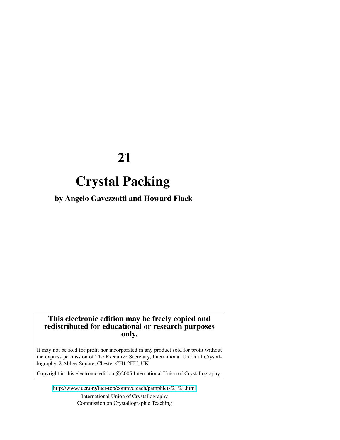# Crystal Packing

# by Angelo Gavezzotti and Howard Flack

# This electronic edition may be freely copied and redistributed for educational or research purposes only.

It may not be sold for profit nor incorporated in any product sold for profit without the express permission of The Executive Secretary, International Union of Crystallography, 2 Abbey Square, Chester CH1 2HU, UK.

Copyright in this electronic edition  $\odot$  2005 International Union of Crystallography.

<http://www.iucr.org/iucr-top/comm/cteach/pamphlets/21/21.html>

International Union of Crystallography Commission on Crystallographic Teaching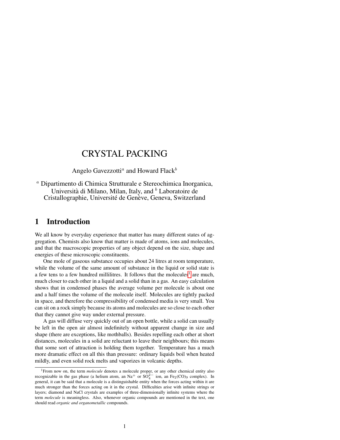# CRYSTAL PACKING

Angelo Gavezzotti $^a$  and Howard Flack $^b$ 

<sup>a</sup> Dipartimento di Chimica Strutturale e Stereochimica Inorganica, Università di Milano, Milan, Italy, and <sup>b</sup> Laboratoire de Cristallographie, Université de Genève, Geneva, Switzerland

# 1 Introduction

We all know by everyday experience that matter has many different states of aggregation. Chemists also know that matter is made of atoms, ions and molecules, and that the macroscopic properties of any object depend on the size, shape and energies of these microscopic constituents.

One mole of gaseous substance occupies about 24 litres at room temperature, while the volume of the same amount of substance in the liquid or solid state is a few tens to a few hundred millilitres. It follows that the molecules<sup>[1](#page-2-0)</sup> are much, much closer to each other in a liquid and a solid than in a gas. An easy calculation shows that in condensed phases the average volume per molecule is about one and a half times the volume of the molecule itself. Molecules are tightly packed in space, and therefore the compressibility of condensed media is very small. You can sit on a rock simply because its atoms and molecules are so close to each other that they cannot give way under external pressure.

A gas will diffuse very quickly out of an open bottle, while a solid can usually be left in the open air almost indefinitely without apparent change in size and shape (there are exceptions, like mothballs). Besides repelling each other at short distances, molecules in a solid are reluctant to leave their neighbours; this means that some sort of attraction is holding them together. Temperature has a much more dramatic effect on all this than pressure: ordinary liquids boil when heated mildly, and even solid rock melts and vaporizes in volcanic depths.

<span id="page-2-0"></span><sup>&</sup>lt;sup>1</sup>From now on, the term *molecule* denotes a molecule proper, or any other chemical entity also recognizable in the gas phase (a helium atom, an Na<sup>+</sup> or  $SO_4^{2-}$  ion, an Fe<sub>2</sub>(CO)<sub>9</sub> complex). In general, it can be said that a molecule is a distinguishable entity when the forces acting within it are much stronger than the forces acting on it in the crystal. Difficulties arise with infinite strings or layers; diamond and NaCl crystals are examples of three-dimensionally infinite systems where the term *molecule* is meaningless. Also, whenever organic compounds are mentioned in the text, one should read *organic and organometallic* compounds.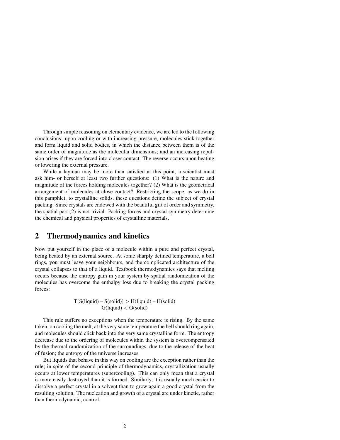Through simple reasoning on elementary evidence, we are led to the following conclusions: upon cooling or with increasing pressure, molecules stick together and form liquid and solid bodies, in which the distance between them is of the same order of magnitude as the molecular dimensions; and an increasing repulsion arises if they are forced into closer contact. The reverse occurs upon heating or lowering the external pressure.

While a layman may be more than satisfied at this point, a scientist must ask him- or herself at least two further questions: (1) What is the nature and magnitude of the forces holding molecules together? (2) What is the geometrical arrangement of molecules at close contact? Restricting the scope, as we do in this pamphlet, to crystalline solids, these questions define the subject of crystal packing. Since crystals are endowed with the beautiful gift of order and symmetry, the spatial part (2) is not trivial. Packing forces and crystal symmetry determine the chemical and physical properties of crystalline materials.

### 2 Thermodynamics and kinetics

Now put yourself in the place of a molecule within a pure and perfect crystal, being heated by an external source. At some sharply defined temperature, a bell rings, you must leave your neighbours, and the complicated architecture of the crystal collapses to that of a liquid. Textbook thermodynamics says that melting occurs because the entropy gain in your system by spatial randomization of the molecules has overcome the enthalpy loss due to breaking the crystal packing forces:

> $T[S(liquid) - S(solid)] > H(liquid) - H(solid)$  $G(liquid) < G(solid)$

This rule suffers no exceptions when the temperature is rising. By the same token, on cooling the melt, at the very same temperature the bell should ring again, and molecules should click back into the very same crystalline form. The entropy decrease due to the ordering of molecules within the system is overcompensated by the thermal randomization of the surroundings, due to the release of the heat of fusion; the entropy of the universe increases.

But liquids that behave in this way on cooling are the exception rather than the rule; in spite of the second principle of thermodynamics, crystallization usually occurs at lower temperatures (supercooling). This can only mean that a crystal is more easily destroyed than it is formed. Similarly, it is usually much easier to dissolve a perfect crystal in a solvent than to grow again a good crystal from the resulting solution. The nucleation and growth of a crystal are under kinetic, rather than thermodynamic, control.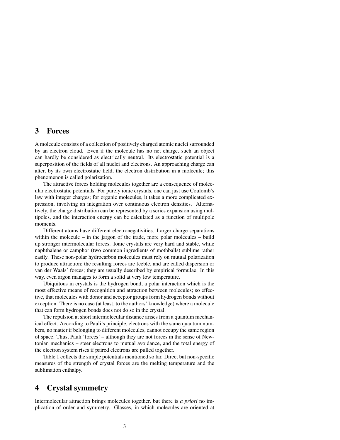# 3 Forces

A molecule consists of a collection of positively charged atomic nuclei surrounded by an electron cloud. Even if the molecule has no net charge, such an object can hardly be considered as electrically neutral. Its electrostatic potential is a superposition of the fields of all nuclei and electrons. An approaching charge can alter, by its own electrostatic field, the electron distribution in a molecule; this phenomenon is called polarization.

The attractive forces holding molecules together are a consequence of molecular electrostatic potentials. For purely ionic crystals, one can just use Coulomb's law with integer charges; for organic molecules, it takes a more complicated expression, involving an integration over continuous electron densities. Alternatively, the charge distribution can be represented by a series expansion using multipoles, and the interaction energy can be calculated as a function of multipole moments.

Different atoms have different electronegativities. Larger charge separations within the molecule  $-$  in the jargon of the trade, more polar molecules  $-$  build up stronger intermolecular forces. Ionic crystals are very hard and stable, while naphthalene or camphor (two common ingredients of mothballs) sublime rather easily. These non-polar hydrocarbon molecules must rely on mutual polarization to produce attraction; the resulting forces are feeble, and are called dispersion or van der Waals' forces; they are usually described by empirical formulae. In this way, even argon manages to form a solid at very low temperature.

Ubiquitous in crystals is the hydrogen bond, a polar interaction which is the most effective means of recognition and attraction between molecules; so effective, that molecules with donor and acceptor groups form hydrogen bonds without exception. There is no case (at least, to the authors' knowledge) where a molecule that can form hydrogen bonds does not do so in the crystal.

The repulsion at short intermolecular distance arises from a quantum mechanical effect. According to Pauli's principle, electrons with the same quantum numbers, no matter if belonging to different molecules, cannot occupy the same region of space. Thus, Pauli 'forces' – although they are not forces in the sense of Newtonian mechanics – steer electrons to mutual avoidance, and the total energy of the electron system rises if paired electrons are pulled together.

Table 1 collects the simple potentials mentioned so far. Direct but non-specific measures of the strength of crystal forces are the melting temperature and the sublimation enthalpy.

# 4 Crystal symmetry

Intermolecular attraction brings molecules together, but there is *a priori* no implication of order and symmetry. Glasses, in which molecules are oriented at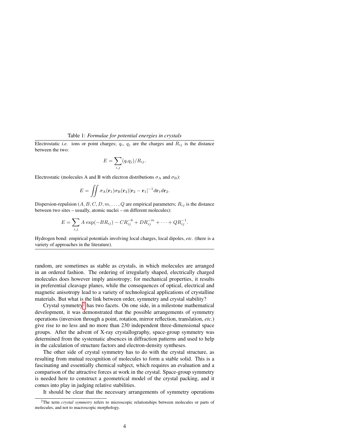Electrostatic *i.e.* ions or point charges;  $q_i$ ,  $q_j$  are the charges and  $R_{ij}$  is the distance between the two:

$$
E=\sum_{i,j}(q_iq_j)/R_{ij}.
$$

Electrostatic (molecules A and B with electron distributions  $\sigma_A$  and  $\sigma_B$ ):

$$
E=\iint \sigma_A(\mathbf{r}_1)\sigma_B(\mathbf{r}_2)|\mathbf{r}_2-\mathbf{r}_1|^{-1}d\mathbf{r}_1d\mathbf{r}_2.
$$

Dispersion-repulsion  $(A, B, C, D, m, \ldots, Q$  are empirical parameters;  $R_{ij}$  is the distance between two sites – usually, atomic nuclei – on different molecules):

$$
E = \sum_{i,j} A \exp(-BR_{ij}) - CR_{ij}^{-6} + DR_{ij}^{-m} + \cdots + QR_{ij}^{-1}.
$$

Hydrogen bond: empirical potentials involving local charges, local dipoles, *etc.* (there is a variety of approaches in the literature).

random, are sometimes as stable as crystals, in which molecules are arranged in an ordered fashion. The ordering of irregularly shaped, electrically charged molecules does however imply anisotropy; for mechanical properties, it results in preferential cleavage planes, while the consequences of optical, electrical and magnetic anisotropy lead to a variety of technological applications of crystalline materials. But what is the link between order, symmetry and crystal stability?

Crystal symmetry[2](#page-5-0) has two facets. On one side, in a milestone mathematical development, it was demonstrated that the possible arrangements of symmetry operations (inversion through a point, rotation, mirror reflection, translation, *etc.*) give rise to no less and no more than 230 independent three-dimensional space groups. After the advent of X-ray crystallography, space-group symmetry was determined from the systematic absences in diffraction patterns and used to help in the calculation of structure factors and electron-density syntheses.

The other side of crystal symmetry has to do with the crystal structure, as resulting from mutual recognition of molecules to form a stable solid. This is a fascinating and essentially chemical subject, which requires an evaluation and a comparison of the attractive forces at work in the crystal. Space-group symmetry is needed here to construct a geometrical model of the crystal packing, and it comes into play in judging relative stabilities.

It should be clear that the necessary arrangements of symmetry operations

<span id="page-5-0"></span><sup>&</sup>lt;sup>2</sup>The term *crystal symmetry* refers to microscopic relationships between molecules or parts of molecules, and not to macroscopic morphology.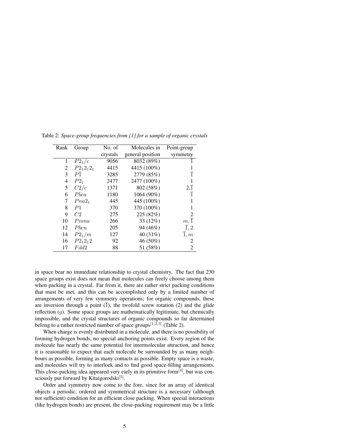| Rank | Group             | No. of   | Molecules in     | Point-group       |
|------|-------------------|----------|------------------|-------------------|
|      |                   | crystals | general position | symmetry          |
| 1    | $P2_1/c$          | 9056     | 8032 (89%)       |                   |
| 2    | $P2_12_12_1$      | 4415     | 4415 (100%)      |                   |
| 3    | $P\overline{1}$   | 3285     | 2779 (85%)       |                   |
| 4    | $P_{21}$          | 2477     | 2477 (100%)      |                   |
| 5    | C2/c              | 1371     | 802 (58%)        | $2,\overline{1}$  |
| 6    | Pbca              | 1180     | 1064 (90%)       | ī                 |
| 7    | Pna2 <sub>1</sub> | 445      | 445 (100%)       |                   |
| 8    | P <sub>1</sub>    | 370      | 370 (100%)       |                   |
| 9    | C <sub>2</sub>    | 275      | 225 (82%)        | 2                 |
| 10   | Pnma              | 266      | 33 (12%)         | $m,\overline{1}$  |
| 12   | Pbcn              | 205      | 94 (46%)         | $\overline{1}, 2$ |
| 14   | $P2_1/m$          | 127      | 40 (31%)         | $\overline{1}, m$ |
| 16   | $P2_12_12$        | 92       | 46 (50%)         | 2                 |
| 17   | Fdd2              | 88       | 51 (58%)         | 2                 |

Table 2: *Space-group frequencies from [1] for a sample of organic crystals*

in space bear no immediate relationship to crystal chemistry. The fact that 230 space groups exist does not mean that molecules can freely choose among them when packing in a crystal. Far from it, there are rather strict packing conditions that must be met, and this can be accomplished only by a limited number of arrangements of very few symmetry operations; for organic compounds, these are inversion through a point  $(\overline{1})$ , the twofold screw rotation (2) and the glide reflection  $(q)$ . Some space groups are mathematically legitimate, but chemically impossible, and the crystal structures of organic compounds so far determined belong to a rather restricted number of space groups  $[1,2,3]$  (Table 2).

When charge is evenly distributed in a molecule, and there is no possibility of forming hydrogen bonds, no special anchoring points exist. Every region of the molecule has nearly the same potential for intermolecular attraction, and hence it is reasonable to expect that each molecule be surrounded by as many neighbours as possible, forming as many contacts as possible. Empty space is a waste, and molecules will try to interlock and to find good space-filling arrangements. This close-packing idea appeared very early in its primitive form<sup>[4]</sup>, but was consciously put forward by Kitaigorodski<br/>[5].

Order and symmetry now come to the fore, since for an array of identical objects a periodic, ordered and symmetrical structure is a necessary (although not sufficient) condition for an efficient close packing. When special interactions (like hydrogen bonds) are present, the close-packing requirement may be a little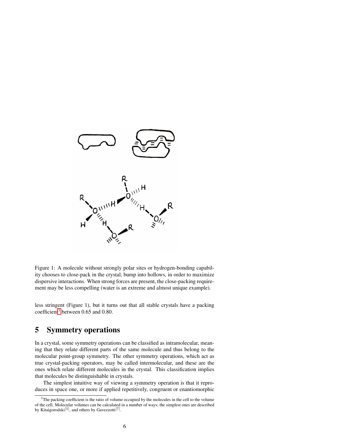

Figure 1: A molecule without strongly polar sites or hydrogen-bonding capability chooses to close-pack in the crystal, bump into hollows, in order to maximize dispersive interactions. When strong forces are present, the close-packing requirement may be less compelling (water is an extreme and almost unique example).

less stringent (Figure 1), but it turns out that all stable crystals have a packing coefficient<sup>[3](#page-7-0)</sup> between  $0.65$  and  $0.80$ .

# 5 Symmetry operations

In a crystal, some symmetry operations can be classified as intramolecular, meaning that they relate different parts of the same molecule and thus belong to the molecular point-group symmetry. The other symmetry operations, which act as true crystal-packing operators, may be called intermolecular, and these are the ones which relate different molecules in the crystal. This classification implies that molecules be distinguishable in crystals.

The simplest intuitive way of viewing a symmetry operation is that it reproduces in space one, or more if applied repetitively, congruent or enantiomorphic

<span id="page-7-0"></span><sup>&</sup>lt;sup>3</sup>The packing coefficient is the ratio of volume occupied by the molecules in the cell to the volume of the cell. Molecular volumes can be calculated in a number of ways; the simplest ones are described by Kitaigorodski<sup>[5]</sup>, and others by Gavezzotti<sup>[7]</sup>.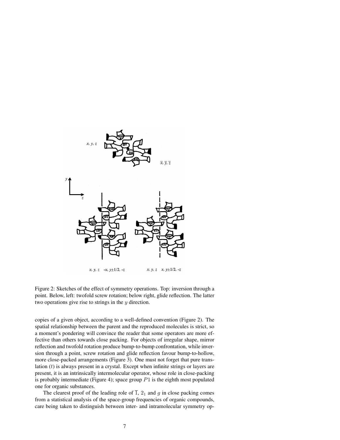

Figure 2: Sketches of the effect of symmetry operations. Top: inversion through a point. Below, left: twofold screw rotation; below right, glide reflection. The latter two operations give rise to strings in the  *direction.* 

copies of a given object, according to a well-defined convention (Figure 2). The spatial relationship between the parent and the reproduced molecules is strict, so a moment's pondering will convince the reader that some operators are more effective than others towards close packing. For objects of irregular shape, mirror reflection and twofold rotation produce bump-to-bump confrontation, while inversion through a point, screw rotation and glide reflection favour bump-to-hollow, more close-packed arrangements (Figure 3). One must not forget that pure translation  $(t)$  is always present in a crystal. Except when infinite strings or layers are present, it is an intrinsically intermolecular operator, whose role in close-packing is probably intermediate (Figure 4); space group  $P1$  is the eighth most populated one for organic substances.

The clearest proof of the leading role of  $\overline{1}$ ,  $2_1$  and g in close packing comes from a statistical analysis of the space-group frequencies of organic compounds, care being taken to distinguish between inter- and intramolecular symmetry op-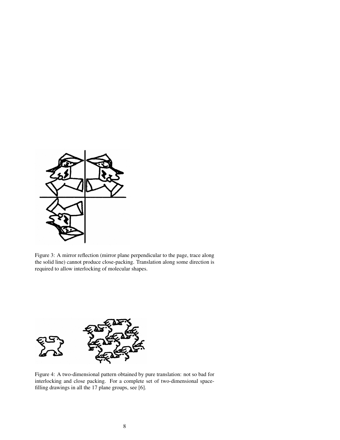

Figure 3: A mirror reflection (mirror plane perpendicular to the page, trace along the solid line) cannot produce close-packing. Translation along some direction is required to allow interlocking of molecular shapes.



Figure 4: A two-dimensional pattern obtained by pure translation: not so bad for interlocking and close packing. For a complete set of two-dimensional spacefilling drawings in all the 17 plane groups, see [6].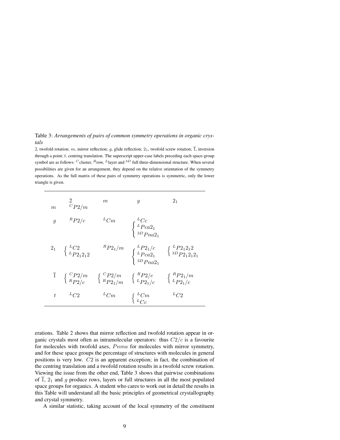#### Table 3: *Arrangements of pairs of common symmetry operations in organic crystals*

2, twofold rotation; m, mirror reflection; q, glide reflection; 21, twofold screw rotation;  $\overline{1}$ , inversion through a point;  $t$ , centring translation. The superscript upper-case labels preceding each space-group symbol are as follows:  $C$  cluster,  $R$  row,  $L$  layer and  $3D$  full three-dimensional structure. When several possibilities are given for an arrangement, they depend on the relative orientation of the symmetry operations. As the full matrix of these pairs of symmetry operations is symmetric, only the lower triangle is given.

| $\,m$          | ${}^{C}P2/m$                                                          | $\,m$      | g                                                                                                                                                                                                                                                  | 2 <sub>1</sub>                                                                                                                          |
|----------------|-----------------------------------------------------------------------|------------|----------------------------------------------------------------------------------------------------------------------------------------------------------------------------------------------------------------------------------------------------|-----------------------------------------------------------------------------------------------------------------------------------------|
| $\mathfrak{g}$ | ${}^R P2/c$                                                           | ${}^L C m$ | $\begin{cases} {}^L C c \\ {}^L P c a 2_1 \\ {}^{3D} P n a 2_1 \end{cases}$                                                                                                                                                                        |                                                                                                                                         |
|                | 2 <sub>1</sub> $\begin{cases} {}^{L}C2 \\ L P2_{1}2_{1}2 \end{cases}$ |            |                                                                                                                                                                                                                                                    | $\begin{array}{cc} {}^R P2_1/m & {}^L P2_1/c & {}^L P2_12_1 \\ {}^L Pca2_1 & {}^L 3D_{P2_12_12_1} \\ {}^3D_{Pna2_1} & {}^L \end{array}$ |
|                |                                                                       |            | $\overline{1}$ $\begin{cases} {}^{C}P2/m \\ {}^{R}P2/c \end{cases}$ $\begin{cases} {}^{C}P2/m \\ {}^{R}P2_{1}/m \end{cases}$ $\begin{cases} {}^{R}P2/c \\ {}^{L}P2_{1}/c \end{cases}$ $\begin{cases} {}^{R}P2_{1}/m \\ {}^{L}P2_{1}/c \end{cases}$ |                                                                                                                                         |
| t              | ${}^L C2$                                                             | ${}^L C m$ | $\begin{cases} L C m \\ L C a \end{cases}$                                                                                                                                                                                                         | ${}^L C2$                                                                                                                               |

erations. Table 2 shows that mirror reflection and twofold rotation appear in organic crystals most often as intramolecular operators: thus  $C2/c$  is a favourite for molecules with twofold axes,  $Pnma$  for molecules with mirror symmetry, and for these space groups the percentage of structures with molecules in general positions is very low. C2 is an apparent exception; in fact, the combination of the centring translation and a twofold rotation results in a twofold screw rotation. Viewing the issue from the other end, Table 3 shows that pairwise combinations of  $\overline{1}$ ,  $2_1$  and q produce rows, layers or full structures in all the most populated space groups for organics. A student who cares to work out in detail the results in this Table will understand all the basic principles of geometrical crystallography and crystal symmetry.

A similar statistic, taking account of the local symmetry of the constituent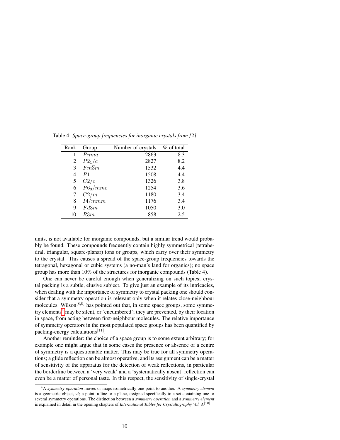| Rank | Group             | Number of crystals | % of total |
|------|-------------------|--------------------|------------|
|      | Pnma              | 2863               | 8.3        |
| 2    | $P2_1/c$          | 2827               | 8.2        |
| 3    | $Fm\overline{3}m$ | 1532               | 4.4        |
| 4    | $P\overline{1}$   | 1508               | 4.4        |
| 5    | C2/c              | 1326               | 3.8        |
| 6    | $P6_3/mmc$        | 1254               | 3.6        |
| 7    | C2/m              | 1180               | 3.4        |
| 8    | I4/mmm            | 1176               | 3.4        |
| 9    | $Fd\overline{3}m$ | 1050               | 3.0        |
| 10   | $R\overline{3}m$  | 858                | 2.5        |

Table 4: *Space-group frequencies for inorganic crystals from [2]*

units, is not available for inorganic compounds, but a similar trend would probably be found. These compounds frequently contain highly symmetrical (tetrahedral, triangular, square-planar) ions or groups, which carry over their symmetry to the crystal. This causes a spread of the space-group frequencies towards the tetragonal, hexagonal or cubic systems (a no-man's land for organics); no space group has more than 10% of the structures for inorganic compounds (Table 4).

One can never be careful enough when generalizing on such topics; crystal packing is a subtle, elusive subject. To give just an example of its intricacies, when dealing with the importance of symmetry to crystal packing one should consider that a symmetry operation is relevant only when it relates close-neighbour molecules. Wilson<sup>[8,9]</sup> has pointed out that, in some space groups, some symme-try elements<sup>[4](#page-11-0)</sup> may be silent, or 'encumbered'; they are prevented, by their location in space, from acting between first-neighbour molecules. The relative importance of symmetry operators in the most populated space groups has been quantified by packing-energy calculations<sup>[11]</sup>.

Another reminder: the choice of a space group is to some extent arbitrary; for example one might argue that in some cases the presence or absence of a centre of symmetry is a questionable matter. This may be true for all symmetry operations; a glide reflection can be almost operative, and its assignment can be a matter of sensitivity of the apparatus for the detection of weak reflections, in particular the borderline between a 'very weak' and a 'systematically absent' reflection can even be a matter of personal taste. In this respect, the sensitivity of single-crystal

<span id="page-11-0"></span><sup>4</sup>A *symmetry operation* moves or maps isometrically one point to another. A *symmetry element* is a geometric object, *viz* a point, a line or a plane, assigned specifically to a set containing one or several symmetry operations. The distinction between a *symmetry operation* and a *symmetry element* is explained in detail in the opening chapters of *International Tables for Crystallography Vol. A*[10] .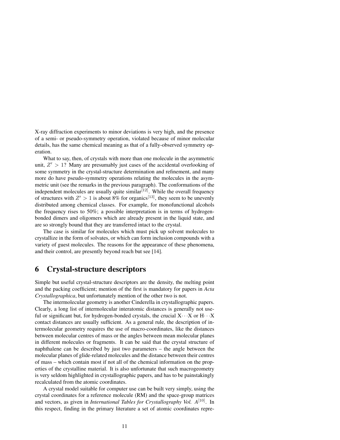X-ray diffraction experiments to minor deviations is very high, and the presence of a semi- or pseudo-symmetry operation, violated because of minor molecular details, has the same chemical meaning as that of a fully-observed symmetry operation.

What to say, then, of crystals with more than one molecule in the asymmetric unit,  $Z' > 1$ ? Many are presumably just cases of the accidental overlooking of some symmetry in the crystal-structure determination and refinement, and many more do have pseudo-symmetry operations relating the molecules in the asymmetric unit (see the remarks in the previous paragraph). The conformations of the independent molecules are usually quite similar<sup>[12]</sup>. While the overall frequency of structures with  $Z' > 1$  is about 8% for organics<sup>[13]</sup>, they seem to be unevenly distributed among chemical classes. For example, for monofunctional alcohols the frequency rises to 50%; a possible interpretation is in terms of hydrogenbonded dimers and oligomers which are already present in the liquid state, and are so strongly bound that they are transferred intact to the crystal.

The case is similar for molecules which must pick up solvent molecules to crystallize in the form of solvates, or which can form inclusion compounds with a variety of guest molecules. The reasons for the appearance of these phenomena, and their control, are presently beyond reach but see [14].

## 6 Crystal-structure descriptors

Simple but useful crystal-structure descriptors are the density, the melting point and the packing coefficient; mention of the first is mandatory for papers in *Acta Crystallographica*, but unfortunately mention of the other two is not.

The intermolecular geometry is another Cinderella in crystallographic papers. Clearly, a long list of intermolecular interatomic distances is generally not useful or significant but, for hydrogen-bonded crystals, the crucial  $X \cdot \cdot X$  or  $H \cdot \cdot X$ contact distances are usually sufficient. As a general rule, the description of intermolecular geometry requires the use of macro-coordinates, like the distances between molecular centres of mass or the angles between mean molecular planes in different molecules or fragments. It can be said that the crystal structure of naphthalene can be described by just two parameters – the angle between the molecular planes of glide-related molecules and the distance between their centres of mass – which contain most if not all of the chemical information on the properties of the crystalline material. It is also unfortunate that such macrogeometry is very seldom highlighted in crystallographic papers, and has to be painstakingly recalculated from the atomic coordinates.

A crystal model suitable for computer use can be built very simply, using the crystal coordinates for a reference molecule (RM) and the space-group matrices and vectors, as given in *International Tables for Crystallography Vol.*  $A^{[10]}$ . In this respect, finding in the primary literature a set of atomic coordinates repre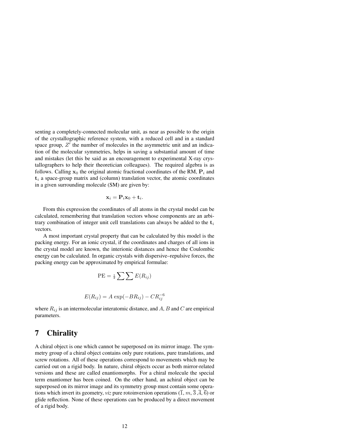senting a completely-connected molecular unit, as near as possible to the origin of the crystallographic reference system, with a reduced cell and in a standard space group,  $Z'$  the number of molecules in the asymmetric unit and an indication of the molecular symmetries, helps in saving a substantial amount of time and mistakes (let this be said as an encouragement to experimental X-ray crystallographers to help their theoretician colleagues). The required algebra is as follows. Calling  $x_0$  the original atomic fractional coordinates of the RM,  $P_i$  and  $t_i$  a space-group matrix and (column) translation vector, the atomic coordinates in a given surrounding molecule (SM) are given by:

$$
\mathbf{x}_i = \mathbf{P}_i \mathbf{x}_0 + \mathbf{t}_i.
$$

From this expression the coordinates of all atoms in the crystal model can be calculated, remembering that translation vectors whose components are an arbitrary combination of integer unit cell translations can always be added to the  $t_i$ vectors.

A most important crystal property that can be calculated by this model is the packing energy. For an ionic crystal, if the coordinates and charges of all ions in the crystal model are known, the interionic distances and hence the Coulombic energy can be calculated. In organic crystals with dispersive–repulsive forces, the packing energy can be approximated by empirical formulae:

$$
PE = \frac{1}{2} \sum \sum E(R_{ij})
$$

$$
E(R_{ij}) = A \exp(-BR_{ij}) - CR_{ij}^{-6}
$$

where  $R_{ij}$  is an intermolecular interatomic distance, and  $A$ ,  $B$  and  $C$  are empirical parameters.

# 7 Chirality

A chiral object is one which cannot be superposed on its mirror image. The symmetry group of a chiral object contains only pure rotations, pure translations, and screw rotations. All of these operations correspond to movements which may be carried out on a rigid body. In nature, chiral objects occur as both mirror-related versions and these are called enantiomorphs. For a chiral molecule the special term enantiomer has been coined. On the other hand, an achiral object can be superposed on its mirror image and its symmetry group must contain some operations which invert its geometry, *viz* pure rotoinversion operations  $(\overline{1}, m, \overline{3}, \overline{4}, \overline{6})$  or glide reflection. None of these operations can be produced by a direct movement of a rigid body.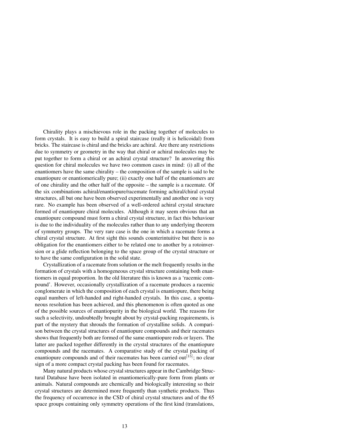Chirality plays a mischievous role in the packing together of molecules to form crystals. It is easy to build a spiral staircase (really it is helicoidal) from bricks. The staircase is chiral and the bricks are achiral. Are there any restrictions due to symmetry or geometry in the way that chiral or achiral molecules may be put together to form a chiral or an achiral crystal structure? In answering this question for chiral molecules we have two common cases in mind: (i) all of the enantiomers have the same chirality – the composition of the sample is said to be enantiopure or enantiomerically pure; (ii) exactly one half of the enantiomers are of one chirality and the other half of the opposite – the sample is a racemate. Of the six combinations achiral/enantiopure/racemate forming achiral/chiral crystal structures, all but one have been observed experimentally and another one is very rare. No example has been observed of a well-ordered achiral crystal structure formed of enantiopure chiral molecules. Although it may seem obvious that an enantiopure compound must form a chiral crystal structure, in fact this behaviour is due to the individuality of the molecules rather than to any underlying theorem of symmetry groups. The very rare case is the one in which a racemate forms a chiral crystal structure. At first sight this sounds counterintuitive but there is no obligation for the enantiomers either to be related one to another by a rotoinversion or a glide reflection belonging to the space group of the crystal structure or to have the same configuration in the solid state.

Crystallization of a racemate from solution or the melt frequently results in the formation of crystals with a homogeneous crystal structure containing both enantiomers in equal proportion. In the old literature this is known as a 'racemic compound'. However, occasionally crystallization of a racemate produces a racemic conglomerate in which the composition of each crystal is enantiopure, there being equal numbers of left-handed and right-handed crystals. In this case, a spontaneous resolution has been achieved, and this phenomenon is often quoted as one of the possible sources of enantiopurity in the biological world. The reasons for such a selectivity, undoubtedly brought about by crystal-packing requirements, is part of the mystery that shrouds the formation of crystalline solids. A comparison between the crystal structures of enantiopure compounds and their racemates shows that frequently both are formed of the same enantiopure rods or layers. The latter are packed together differently in the crystal structures of the enantiopure compounds and the racemates. A comparative study of the crystal packing of enantiopure compounds and of their racemates has been carried out<sup>[15]</sup>; no clear sign of a more compact crystal packing has been found for racemates.

Many natural products whose crystal structures appear in the Cambridge Structural Database have been isolated in enantiomerically-pure form from plants or animals. Natural compounds are chemically and biologically interesting so their crystal structures are determined more frequently than synthetic products. Thus the frequency of occurrence in the CSD of chiral crystal structures and of the 65 space groups containing only symmetry operations of the first kind (translations,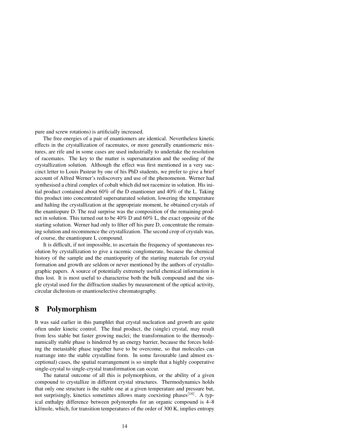pure and screw rotations) is artificially increased.

The free energies of a pair of enantiomers are identical. Nevertheless kinetic effects in the crystallization of racemates, or more generally enantiomeric mixtures, are rife and in some cases are used industrially to undertake the resolution of racemates. The key to the matter is supersaturation and the seeding of the crystallization solution. Although the effect was first mentioned in a very succinct letter to Louis Pasteur by one of his PhD students, we prefer to give a brief account of Alfred Werner's rediscovery and use of the phenomenon. Werner had synthesised a chiral complex of cobalt which did not racemize in solution. His initial product contained about 60% of the D enantiomer and 40% of the L. Taking this product into concentrated supersaturated solution, lowering the temperature and halting the crystallization at the appropriate moment, he obtained crystals of the enantiopure D. The real surprise was the composition of the remaining product in solution. This turned out to be  $40\%$  D and  $60\%$  L, the exact opposite of the starting solution. Werner had only to filter off his pure D, concentrate the remaining solution and recommence the crystallization. The second crop of crystals was, of course, the enantiopure L compound.

It is difficult, if not impossible, to ascertain the frequency of spontaneous resolution by crystallization to give a racemic conglomerate, because the chemical history of the sample and the enantiopurity of the starting materials for crystal formation and growth are seldom or never mentioned by the authors of crystallographic papers. A source of potentially extremely useful chemical information is thus lost. It is most useful to characterise both the bulk compound and the single crystal used for the diffraction studies by measurement of the optical activity, circular dichroism or enantioselective chromatography.

# 8 Polymorphism

It was said earlier in this pamphlet that crystal nucleation and growth are quite often under kinetic control. The final product, the (single) crystal, may result from less stable but faster growing nuclei; the transformation to the thermodynamically stable phase is hindered by an energy barrier, because the forces holding the metastable phase together have to be overcome, so that molecules can rearrange into the stable crystalline form. In some favourable (and almost exceptional) cases, the spatial rearrangement is so simple that a highly cooperative single-crystal to single-crystal transformation can occur.

The natural outcome of all this is polymorphism, or the ability of a given compound to crystallize in different crystal structures. Thermodynamics holds that only one structure is the stable one at a given temperature and pressure but, not surprisingly, kinetics sometimes allows many coexisting phases $[16]$ . A tvpical enthalpy difference between polymorphs for an organic compound is 4–8 kJ/mole, which, for transition temperatures of the order of 300 K, implies entropy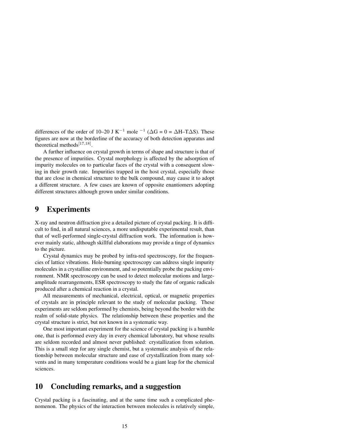differences of the order of 10–20 J K<sup>-1</sup> mole<sup>-1</sup> ( $\Delta G = 0 = \Delta H - T \Delta S$ ). These figures are now at the borderline of the accuracy of both detection apparatus and theoretical methods $[17, 18]$ .

A further influence on crystal growth in terms of shape and structure is that of the presence of impurities. Crystal morphology is affected by the adsorption of impurity molecules on to particular faces of the crystal with a consequent slowing in their growth rate. Impurities trapped in the host crystal, especially those that are close in chemical structure to the bulk compound, may cause it to adopt a different structure. A few cases are known of opposite enantiomers adopting different structures although grown under similar conditions.

### 9 Experiments

X-ray and neutron diffraction give a detailed picture of crystal packing. It is difficult to find, in all natural sciences, a more undisputable experimental result, than that of well-performed single-crystal diffraction work. The information is however mainly static, although skillful elaborations may provide a tinge of dynamics to the picture.

Crystal dynamics may be probed by infra-red spectroscopy, for the frequencies of lattice vibrations. Hole-burning spectroscopy can address single impurity molecules in a crystalline environment, and so potentially probe the packing environment. NMR spectroscopy can be used to detect molecular motions and largeamplitude rearrangements, ESR spectroscopy to study the fate of organic radicals produced after a chemical reaction in a crystal.

All measurements of mechanical, electrical, optical, or magnetic properties of crystals are in principle relevant to the study of molecular packing. These experiments are seldom performed by chemists, being beyond the border with the realm of solid-state physics. The relationship between these properties and the crystal structure is strict, but not known in a systematic way.

One most important experiment for the science of crystal packing is a humble one, that is performed every day in every chemical laboratory, but whose results are seldom recorded and almost never published: crystallization from solution. This is a small step for any single chemist, but a systematic analysis of the relationship between molecular structure and ease of crystallization from many solvents and in many temperature conditions would be a giant leap for the chemical sciences.

# 10 Concluding remarks, and a suggestion

Crystal packing is a fascinating, and at the same time such a complicated phenomenon. The physics of the interaction between molecules is relatively simple,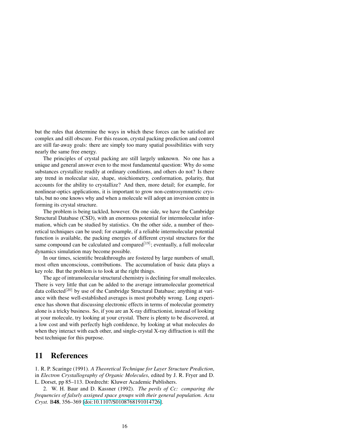but the rules that determine the ways in which these forces can be satisfied are complex and still obscure. For this reason, crystal packing prediction and control are still far-away goals: there are simply too many spatial possibilities with very nearly the same free energy.

The principles of crystal packing are still largely unknown. No one has a unique and general answer even to the most fundamental question: Why do some substances crystallize readily at ordinary conditions, and others do not? Is there any trend in molecular size, shape, stoichiometry, conformation, polarity, that accounts for the ability to crystallize? And then, more detail; for example, for nonlinear-optics applications, it is important to grow non-centrosymmetric crystals, but no one knows why and when a molecule will adopt an inversion centre in forming its crystal structure.

The problem is being tackled, however. On one side, we have the Cambridge Structural Database (CSD), with an enormous potential for intermolecular information, which can be studied by statistics. On the other side, a number of theoretical techniques can be used; for example, if a reliable intermolecular potential function is available, the packing energies of different crystal structures for the same compound can be calculated and compared  $[19]$ ; eventually, a full molecular dynamics simulation may become possible.

In our times, scientific breakthroughs are fostered by large numbers of small, most often unconscious, contributions. The accumulation of basic data plays a key role. But the problem is to look at the right things.

The age of intramolecular structural chemistry is declining for small molecules. There is very little that can be added to the average intramolecular geometrical data collected<sup>[20]</sup> by use of the Cambridge Structural Database; anything at variance with these well-established averages is most probably wrong. Long experience has shown that discussing electronic effects in terms of molecular geometry alone is a tricky business. So, if you are an X-ray diffractionist, instead of looking at your molecule, try looking at your crystal. There is plenty to be discovered, at a low cost and with perfectly high confidence, by looking at what molecules do when they interact with each other, and single-crystal X-ray diffraction is still the best technique for this purpose.

# 11 References

1. R. P. Scaringe (1991). *A Theoretical Technique for Layer Structure Prediction*, in *Electron Crystallography of Organic Molecules*, edited by J. R. Fryer and D. L. Dorset, pp 85–113. Dordrecht: Kluwer Academic Publishers.

2. W. H. Baur and D. Kassner (1992). *The perils of Cc: comparing the frequencies of falsely assigned space groups with their general population. Acta Cryst.* B48, 356–369 [\[doi:10.1107/S0108768191014726\]](http://dx.doi.org/10.1107/S0108768191014726).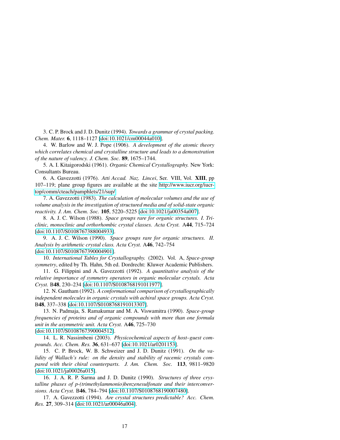3. C. P. Brock and J. D. Dunitz (1994). *Towards a grammar of crystal packing. Chem. Mater.* 6, 1118–1127 [\[doi:10.1021/cm00044a010\]](http://dx.doi.org/10.1021/cm00044a010).

4. W. Barlow and W. J. Pope (1906). *A development of the atomic theory which correlates chemical and crystalline structure and leads to a demonstration of the nature of valency. J. Chem. Soc.* 89, 1675–1744.

5. A. I. Kitaigorodski (1961). *Organic Chemical Crystallography.* New York: Consultants Bureau.

6. A. Gavezzotti (1976). *Atti Accad. Naz. Lincei*, Ser. VIII, Vol. XIII, pp 107–119; plane group figures are available at the site [http://www.iucr.org/iucr](http://www.iucr.org/iucr-top/comm/cteach/pamphlets/21/sup/)[top/comm/cteach/pamphlets/21/sup/.](http://www.iucr.org/iucr-top/comm/cteach/pamphlets/21/sup/)

7. A. Gavezzotti (1983). *The calculation of molecular volumes and the use of volume analysis in the investigation of structured media and of solid-state organic reactivity. J. Am. Chem. Soc.* 105, 5220–5225 [\[doi:10.1021/ja00354a007\]](http://dx.doi.org/10.1021/ja00354a007).

8. A. J. C. Wilson (1988). *Space groups rare for organic structures. I. Triclinic, monoclinic and orthorhombic crystal classes. Acta Cryst.* A44, 715–724 [\[doi:10.1107/S0108767388004933\]](http://dx.doi.org/10.1107/S0108767388004933).

9. A. J. C. Wilson (1990). *Space groups rare for organic structures. II. Analysis by arithmetic crystal class. Acta Cryst.* A46, 742–754 [\[doi:10.1107/S0108767390004901\]](http://dx.doi.org/10.1107/S0108767390004901).

10. *International Tables for Crystallography.* (2002). Vol. A, *Space-group symmetry*, edited by Th. Hahn, 5th ed. Dordrecht: Kluwer Academic Publishers.

11. G. Filippini and A. Gavezzotti (1992). *A quantitative analysis of the relative importance of symmetry operators in organic molecular crystals. Acta Cryst.* B48, 230–234 [\[doi:10.1107/S0108768191011977\]](http://dx.doi.org/10.1107/S0108768191011977).

12. N. Gautham (1992). *A conformational comparison of crystallographically independent molecules in organic crystals with achiral space groups. Acta Cryst.* B48, 337–338 [\[doi:10.1107/S0108768191013307\]](http://dx.doi.org/10.1107/S0108768191013307).

13. N. Padmaja, S. Ramakumar and M. A. Viswamitra (1990). *Space-group frequencies of proteins and of organic compounds with more than one formula unit in the asymmetric unit. Acta Cryst.* A46, 725–730 [\[doi:10.1107/S0108767390004512\]](http://dx.doi.org/10.1107/S0108767390004512).

14. L. R. Nassimbeni (2003). *Physicochemical aspects of host–guest compounds. Acc. Chem. Res.* 36, 631–637 [\[doi:10.1021/ar0201153\]](http://dx.doi.org/10.1021/ar0201153).

15. C. P. Brock, W. B. Schweizer and J. D. Dunitz (1991). *On the validity of Wallach's rule: on the density and stability of racemic crystals compared with their chiral counterparts. J. Am. Chem. Soc.* 113, 9811–9820 [\[doi:10.1021/ja00026a015\]](http://dx.doi.org/10.1021/ja00026a015).

16. J. A. R. P. Sarma and J. D. Dunitz (1990). *Structures of three crystalline phases of p-(trimethylammonio)benzenesulfonate and their interconversions. Acta Cryst.* B46, 784–794 [\[doi:10.1107/S0108768190007480\]](http://dx.doi.org/10.1107/S0108768190007480).

17. A. Gavezzotti (1994). *Are crystal structures predictable? Acc. Chem. Res.* 27, 309–314 [\[doi:10.1021/ar00046a004\]](http://dx.doi.org/10.1021/ar00046a004).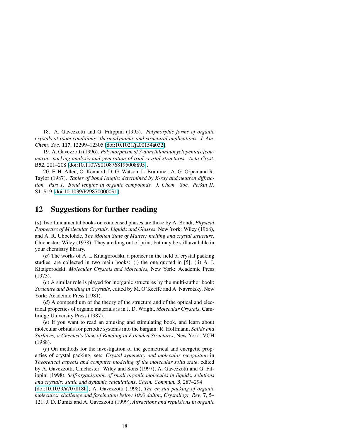18. A. Gavezzotti and G. Filippini (1995). *Polymorphic forms of organic crystals at room conditions: thermodynamic and structural implications. J. Am. Chem. Soc.* 117, 12299–12305 [\[doi:10.1021/ja00154a032\]](http://dx.doi.org/10.1021/ja00154a032).

19. A. Gavezzotti (1996). *Polymorphism of 7-dimethlaminocyclopenta[c]coumarin: packing analysis and generation of trial crystal structures. Acta Cryst.* B52, 201–208 [\[doi:10.1107/S0108768195008895\]](http://dx.doi.org/10.1107/S0108768195008895).

20. F. H. Allen, O. Kennard, D. G. Watson, L. Brammer, A. G. Orpen and R. Taylor (1987). *Tables of bond lengths determined by X-ray and neutron diffraction. Part 1. Bond lengths in organic compounds. J. Chem. Soc. Perkin II*, S1–S19 [\[doi:10.1039/P298700000S1\]](http://dx.doi.org/10.1039/P298700000S1).

# 12 Suggestions for further reading

(*a*) Two fundamental books on condensed phases are those by A. Bondi, *Physical Properties of Molecular Crystals, Liquids and Glasses*, New York: Wiley (1968), and A. R. Ubbelohde, *The Molten State of Matter: melting and crystal structure*, Chichester: Wiley (1978). They are long out of print, but may be still available in your chemistry library.

(*b*) The works of A. I. Kitaigorodski, a pioneer in the field of crystal packing studies, are collected in two main books: (i) the one quoted in [5]; (ii) A. I. Kitaigorodski, *Molecular Crystals and Molecules*, New York: Academic Press (1973).

(*c*) A similar role is played for inorganic structures by the multi-author book: *Structure and Bonding in Crystals*, edited by M. O'Keeffe and A. Navrotsky, New York: Academic Press (1981).

(*d*) A compendium of the theory of the structure and of the optical and electrical properties of organic materials is in J. D. Wright, *Molecular Crystals*, Cambridge University Press (1987).

(*e*) If you want to read an amusing and stimulating book, and learn about molecular orbitals for periodic systems into the bargain: R. Hoffmann, *Solids and Surfaces, a Chemist's View of Bonding in Extended Structures*, New York: VCH (1988).

(*f*) On methods for the investigation of the geometrical and energetic properties of crystal packing, see: *Crystal symmetry and molecular recognition* in *Theoretical aspects and computer modeling of the molecular solid state*, edited by A. Gavezzotti, Chichester: Wiley and Sons (1997); A. Gavezzotti and G. Filippini (1998), *Self-organization of small organic molecules in liquids, solutions and crystals: static and dynamic calculations*, *Chem. Commun.* 3, 287–294

[\[doi:10.1039/a707818h\]](http://dx.doi.org/10.1039/a707818h); A. Gavezzotti (1998), *The crystal packing of organic molecules: challenge and fascination below 1000 dalton*, *Crystallogr. Rev.* 7, 5– 121; J. D. Dunitz and A. Gavezzotti (1999), *Attractions and repulsions in organic*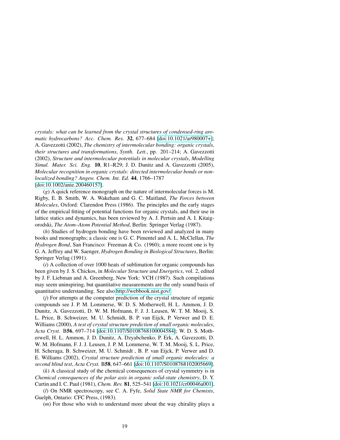*crystals: what can be learned from the crystal structures of condensed-ring aromatic hydrocarbons? Acc. Chem. Res.* 32, 677–684 [\[doi:10.1021/ar980007+\]](http://dx.doi.org/10.1021/ar980007+); A. Gavezzotti (2002), *The chemistry of intermolecular bonding: organic crystals, their structures and transformations*, *Synth. Lett.*, pp. 201–214; A. Gavezzotti (2002), *Structure and intermolecular potentials in molecular crystals*, *Modelling Simul. Mater. Sci. Eng.* 10, R1–R29; J. D. Dunitz and A. Gavezzotti (2005), *Molecular recognition in organic crystals: directed intermolecular bonds or nonlocalized bonding? Angew. Chem. Int. Ed.* 44, 1766–1787 [\[doi:10.1002/anie.200460157\]](http://dx.doi.org/10.1002/anie.200460157).

(*g*) A quick reference monograph on the nature of intermolecular forces is M. Rigby, E. B. Smith, W. A. Wakeham and G. C. Maitland, *The Forces between Molecules*, Oxford: Clarendon Press (1986). The principles and the early stages of the empirical fitting of potential functions for organic crystals, and their use in lattice statics and dynamics, has been reviewed by A. J. Pertsin and A. I. Kitaigorodski, *The Atom–Atom Potential Method*, Berlin: Springer Verlag (1987).

(*h*) Studies of hydrogen bonding have been reviewed and analyzed in many books and monographs; a classic one is G. C. Pimentel and A. L. McClellan, *The Hydrogen Bond*, San Francisco: Freeman & Co. (1960); a more recent one is by G. A. Jeffrey and W. Saenger, *Hydrogen Bonding in Biological Structures*, Berlin: Springer Verlag (1991).

(*i*) A collection of over 1000 heats of sublimation for organic compounds has been given by J. S. Chickos, in *Molecular Structure and Energetics*, vol. 2, edited by J. F. Liebman and A. Greenberg, New York: VCH (1987). Such compilations may seem uninspiring, but quantitative measurements are the only sound basis of quantitative understanding. See also [http://webbook.nist.gov/.](http://webbook.nist.gov/)

(*j*) For attempts at the computer prediction of the crystal structure of organic compounds see J. P. M. Lommerse, W. D. S. Motherwell, H. L. Ammon, J. D. Dunitz, A. Gavezzotti, D. W. M. Hofmann, F. J. J. Leusen, W. T. M. Mooij, S. L. Price, B. Schweizer, M. U. Schmidt, B. P. van Eijck, P. Verwer and D. E. Williams (2000), *A test of crystal structure prediction of small organic molecules*, *Acta Cryst.* B56, 697–714 [\[doi:10.1107/S0108768100004584\]](http://dx.doi.org/10.1107/S0108768100004584); W. D. S. Motherwell, H. L. Ammon, J. D. Dunitz, A. Dzyabchenko, P. Erk, A. Gavezzotti, D. W. M. Hofmann, F. J. J. Leusen, J. P. M. Lommerse, W. T. M. Mooij, S. L. Price, H. Scheraga, B. Schweizer, M. U. Schmidt , B. P. van Eijck, P. Verwer and D. E. Williams (2002), *Crystal structure prediction of small organic molecules: a second blind test*, *Acta Cryst.* B58, 647–661 [\[doi:10.1107/S0108768102005669\]](http://dx.doi.org/10.1107/S0108768102005669).

(*k*) A classical study of the chemical consequences of crystal symmetry is in *Chemical consequences of the polar axis in organic solid-state chemistry*, D. Y. Curtin and I. C. Paul (1981), *Chem. Rev.* 81, 525–541 [\[doi:10.1021/cr00046a001\]](http://dx.doi.org/10.1021/cr00046a001).

(*l*) On NMR spectroscopy, see C. A. Fyfe, *Solid State NMR for Chemists*, Guelph, Ontario: CFC Press, (1983).

(*m*) For those who wish to understand more about the way chirality plays a